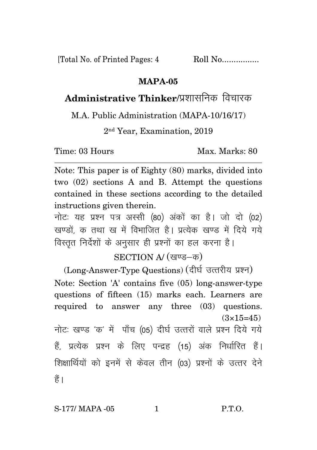[Total No. of Printed Pages: 4 Roll No.................

## **MAPA-05**

## Administrative Thinker/पशासनिक विचारक

M.A. Public Administration (MAPA-10/16/17)

2 nd Year, Examination, 2019

Time: 03 Hours Max. Marks: 80

Note: This paper is of Eighty (80) marks, divided into two (02) sections A and B. Attempt the questions contained in these sections according to the detailed instructions given therein.

नोट: यह प्रश्न पत्र अस्सी (80) अंकों का है। जो दो (02) खण्डों क तथा ख में विभाजित है। प्रत्येक खण्ड में दिये गये विस्तृत निर्देशों के अनुसार ही प्रश्नों का हल करना है।

SECTION A/ (खण्ड-क)

(Long-Answer-Type Questions) (दीर्घ उत्तरीय प्रश्न) Note: Section 'A' contains five (05) long-answer-type questions of fifteen (15) marks each. Learners are required to answer any three (03) questions.  $(3\times15=45)$ नोटः खण्ड 'क' में पाँच (05) दीर्घ उत्तरों वाले प्रश्न दिये गये हैं, प्रत्येक प्रश्न के लिए पन्द्रह (15) अंक निर्धारित हैं। शिक्षार्थियों को इनमें से केवल तीन (03) प्रश्नों के उत्तर देने हैं।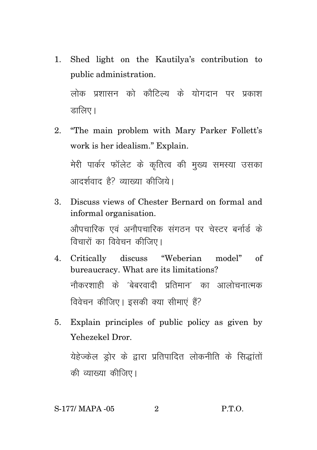1. Shed light on the Kautilya's contribution to public administration.

लोक प्रशासन को कौटिल्य के योगदान पर प्रकाश डालिए।

- 2. "The main problem with Mary Parker Follett's work is her idealism." Explain. मेरी पार्कर फॉलेट के कृतित्व की मुख्य समस्या उसका आदर्शवाद है? व्याख्या कीजिये।
- 3. Discuss views of Chester Bernard on formal and informal organisation. ओपचारिक एवं अनौपचारिक संगठन पर चेस्टर बर्नार्ड के विचारों का विवेचन कीजिए।
- 4. Critically discuss "Weberian model" of bureaucracy. What are its limitations? नौकरशाही के 'बेबरवादी प्रतिमान' का आलोचनात्मक विवेचन कीजिए। इसकी क्या सीमाएं हैं?
- 5. Explain principles of public policy as given by Yehezekel Dror.

येहेज्केल ड्रोर के द्वारा प्रतिपादित लोकनीति के सिद्धांतों की व्याख्या कीजिए।

## S-177/ MAPA -05 2 P.T.O.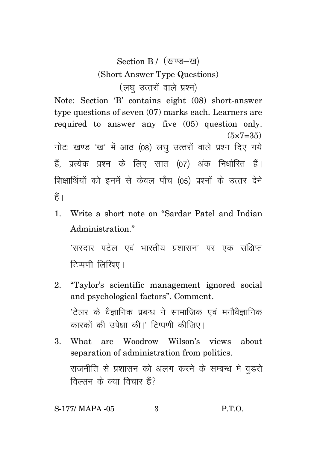Section B / (खण्ड-ख) (Short Answer Type Questions) (लघु उत्तरों वाले प्रश्न)

Note: Section 'B' contains eight (08) short-answer type questions of seven (07) marks each. Learners are required to answer any five (05) question only.  $(5 \times 7 = 35)$ 

नोटः खण्ड 'ख' में आठ (08) लघु उत्तरों वाले प्रश्न दिए गये हैं, प्रत्येक प्रश्न के लिए सात (07) अंक निर्धारित हैं। शिक्षार्थियों को इनमें से केवल पाँच (05) प्रश्नों के उत्तर देने हैं।

1. Write a short note on "Sardar Patel and Indian Administration."

'सरदार पटेल एवं भारतीय प्रशासन' पर एक संक्षिप्त टिप्पणी लिखिए।

- 2. "Taylor's scientific management ignored social and psychological factors". Comment.  $'$ टेलर के वैज्ञानिक प्रबन्ध ने सामाजिक एवं मनौवैज्ञानिक कारकों की उपेक्षा की।' टिप्पणी कीजिए।
- 3. What are Woodrow Wilson's views about separation of administration from politics. राजनीति से प्रशासन को अलग करने के सम्बन्ध मे वडरो विल्सन के क्या विचार हैं?